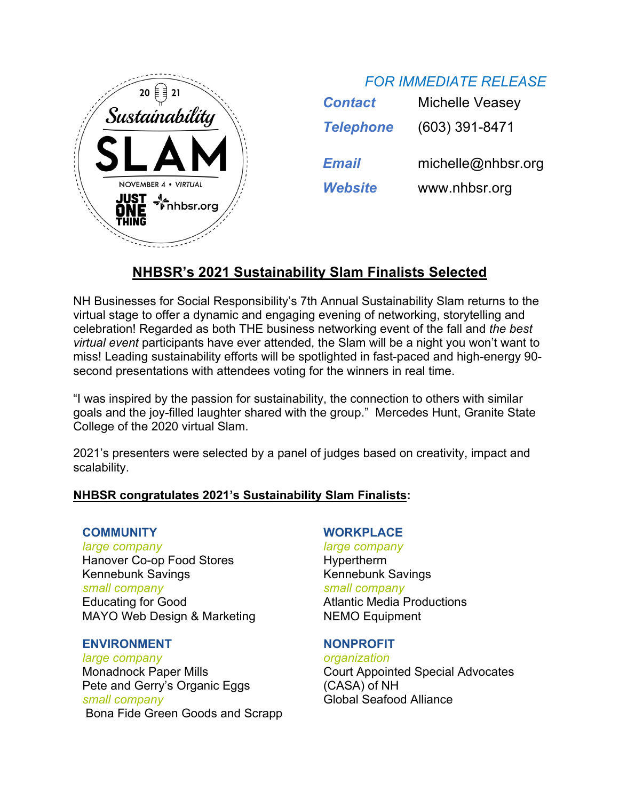

| <b>Contact</b>   | <b>Michelle Veasey</b> |
|------------------|------------------------|
| <b>Telephone</b> | $(603)$ 391-8471       |
| Email            | michelle@nhbsr.org     |
| <b>Website</b>   | www.nhbsr.org          |

# **NHBSR's 2021 Sustainability Slam Finalists Selected**

NH Businesses for Social Responsibility's 7th Annual Sustainability Slam returns to the virtual stage to offer a dynamic and engaging evening of networking, storytelling and celebration! Regarded as both THE business networking event of the fall and *the best virtual event* participants have ever attended, the Slam will be a night you won't want to miss! Leading sustainability efforts will be spotlighted in fast-paced and high-energy 90 second presentations with attendees voting for the winners in real time.

"I was inspired by the passion for sustainability, the connection to others with similar goals and the joy-filled laughter shared with the group." Mercedes Hunt, Granite State College of the 2020 virtual Slam.

2021's presenters were selected by a panel of judges based on creativity, impact and scalability.

## **NHBSR congratulates 2021's Sustainability Slam Finalists:**

#### **COMMUNITY**

*large company* Hanover Co-op Food Stores Kennebunk Savings *small company* Educating for Good MAYO Web Design & Marketing

#### **ENVIRONMENT**

*large company* Monadnock Paper Mills Pete and Gerry's Organic Eggs *small company* Bona Fide Green Goods and Scrapp

## **WORKPLACE**

*large company* Hypertherm Kennebunk Savings *small company* Atlantic Media Productions NEMO Equipment

#### **NONPROFIT**

*organization* Court Appointed Special Advocates (CASA) of NH Global Seafood Alliance

## *FOR IMMEDIATE RELEASE*